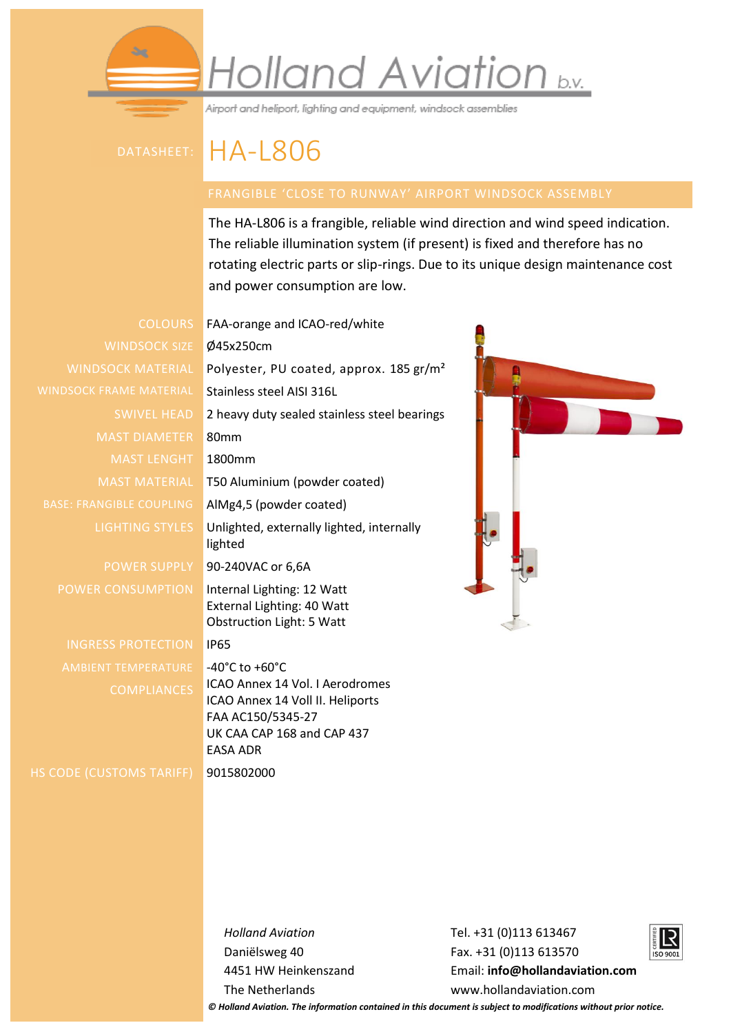## Holland Aviation b.v.

Airport and heliport, lighting and equipment, windsock assemblies

## datasheet: HA-L806

The HA-L806 is a frangible, reliable wind direction and wind speed indication. The reliable illumination system (if present) is fixed and therefore has no rotating electric parts or slip-rings. Due to its unique design maintenance cost and power consumption are low.

WINDSOCK SIZE Ø45x250cm WINDSOCK FRAME MATERIAL Stainless steel AISI 316L MAST DIAMETER 80mm MAST LENGHT 1800mm BASE: FRANGIBLE COUPLING | AIMg4,5 (powder coated)

INGRESS PROTECTION IP65 AMBIENT TEMPERATURE -40°C to +60°C

HS CODE (CUSTOMS TARIFF) 9015802000

COLOURS FAA-orange and ICAO-red/white WINDSOCK MATERIAL Polyester, PU coated, approx. 185 gr/m<sup>2</sup> SWIVEL HEAD 2 heavy duty sealed stainless steel bearings MAST MATERIAL T50 Aluminium (powder coated) LIGHTING STYLES Unlighted, externally lighted, internally lighted POWER SUPPLY 90-240VAC or 6,6A POWER CONSUMPTION | Internal Lighting: 12 Watt External Lighting: 40 Watt Obstruction Light: 5 Watt COMPLIANCES | ICAO Annex 14 Vol. I Aerodromes ICAO Annex 14 Voll II. Heliports FAA AC150/5345-27 UK CAA CAP 168 and CAP 437 EASA ADR



*Holland Aviation* Daniëlsweg 40 4451 HW Heinkenszand The Netherlands

Tel. +31 (0)113 613467 Fax. +31 (0)113 613570 Email: **[info@hollandaviation.com](mailto:info@hollandaviation.com)** www.hollandaviation.com